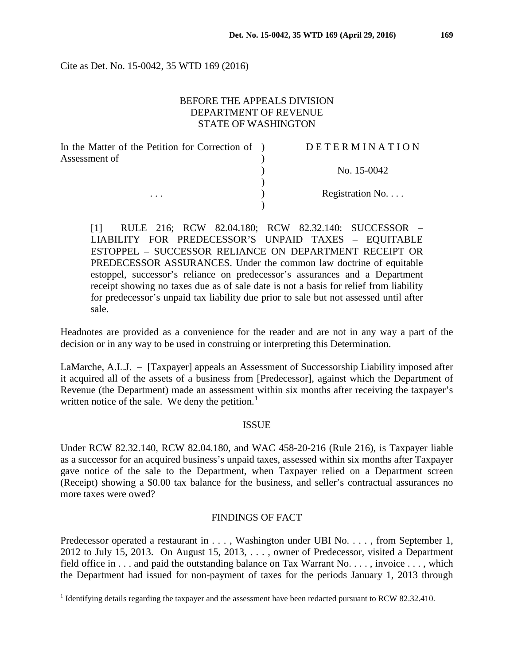Cite as Det. No. 15-0042, 35 WTD 169 (2016)

#### BEFORE THE APPEALS DIVISION DEPARTMENT OF REVENUE STATE OF WASHINGTON

| In the Matter of the Petition for Correction of ) | <b>DETERMINATION</b> |
|---------------------------------------------------|----------------------|
| Assessment of                                     |                      |
|                                                   | No. 15-0042          |
|                                                   |                      |
| $\cdots$                                          | Registration No      |
|                                                   |                      |

[1] RULE 216; RCW 82.04.180; RCW 82.32.140: SUCCESSOR – LIABILITY FOR PREDECESSOR'S UNPAID TAXES – EQUITABLE ESTOPPEL – SUCCESSOR RELIANCE ON DEPARTMENT RECEIPT OR PREDECESSOR ASSURANCES. Under the common law doctrine of equitable estoppel, successor's reliance on predecessor's assurances and a Department receipt showing no taxes due as of sale date is not a basis for relief from liability for predecessor's unpaid tax liability due prior to sale but not assessed until after sale.

Headnotes are provided as a convenience for the reader and are not in any way a part of the decision or in any way to be used in construing or interpreting this Determination.

LaMarche, A.L.J. – [Taxpayer] appeals an Assessment of Successorship Liability imposed after it acquired all of the assets of a business from [Predecessor], against which the Department of Revenue (the Department) made an assessment within six months after receiving the taxpayer's written notice of the sale. We deny the petition. $<sup>1</sup>$  $<sup>1</sup>$  $<sup>1</sup>$ </sup>

#### ISSUE

Under RCW 82.32.140, RCW 82.04.180, and WAC 458-20-216 (Rule 216), is Taxpayer liable as a successor for an acquired business's unpaid taxes, assessed within six months after Taxpayer gave notice of the sale to the Department, when Taxpayer relied on a Department screen (Receipt) showing a \$0.00 tax balance for the business, and seller's contractual assurances no more taxes were owed?

## FINDINGS OF FACT

Predecessor operated a restaurant in . . . , Washington under UBI No. . . . , from September 1, 2012 to July 15, 2013. On August 15, 2013, . . . , owner of Predecessor, visited a Department field office in . . . and paid the outstanding balance on Tax Warrant No. . . . , invoice . . . , which the Department had issued for non-payment of taxes for the periods January 1, 2013 through

<span id="page-0-0"></span><sup>&</sup>lt;sup>1</sup> Identifying details regarding the taxpayer and the assessment have been redacted pursuant to RCW 82.32.410.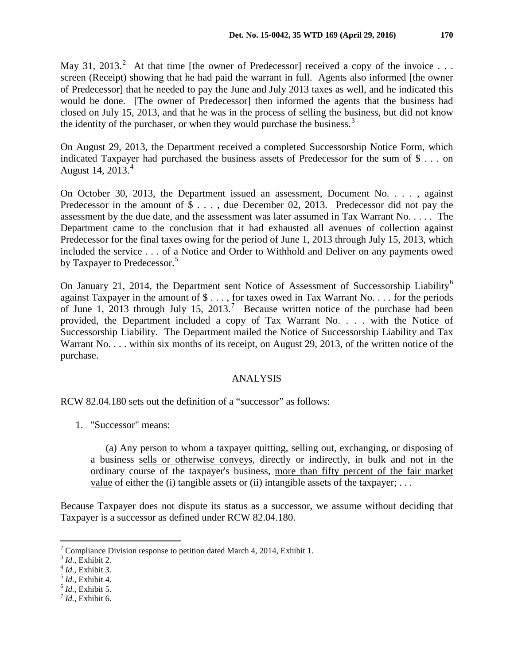May 31, [2](#page-1-0)013.<sup>2</sup> At that time [the owner of Predecessor] received a copy of the invoice ... screen (Receipt) showing that he had paid the warrant in full. Agents also informed [the owner of Predecessor] that he needed to pay the June and July 2013 taxes as well, and he indicated this would be done. [The owner of Predecessor] then informed the agents that the business had closed on July 15, 2013, and that he was in the process of selling the business, but did not know the identity of the purchaser, or when they would purchase the business.<sup>[3](#page-1-1)</sup>

On August 29, 2013, the Department received a completed Successorship Notice Form, which indicated Taxpayer had purchased the business assets of Predecessor for the sum of \$ . . . on August 14, 2013. [4](#page-1-2)

On October 30, 2013, the Department issued an assessment, Document No. . . . , against Predecessor in the amount of  $\$\ldots\$ , due December 02, 2013. Predecessor did not pay the assessment by the due date, and the assessment was later assumed in Tax Warrant No. . . . . The Department came to the conclusion that it had exhausted all avenues of collection against Predecessor for the final taxes owing for the period of June 1, 2013 through July 15, 2013, which included the service . . . of a Notice and Order to Withhold and Deliver on any payments owed by Taxpayer to Predecessor.<sup>[5](#page-1-3)</sup>

On January 21, 2014, the Department sent Notice of Assessment of Successorship Liability<sup>[6](#page-1-4)</sup> against Taxpayer in the amount of \$ . . . , for taxes owed in Tax Warrant No. . . . for the periods of June 1, 2013 through July 15, 2013.<sup>[7](#page-1-5)</sup> Because written notice of the purchase had been provided, the Department included a copy of Tax Warrant No. . . . with the Notice of Successorship Liability. The Department mailed the Notice of Successorship Liability and Tax Warrant No. . . . within six months of its receipt, on August 29, 2013, of the written notice of the purchase.

## ANALYSIS

RCW 82.04.180 sets out the definition of a "successor" as follows:

1. "Successor" means:

(a) Any person to whom a taxpayer quitting, selling out, exchanging, or disposing of a business sells or otherwise conveys, directly or indirectly, in bulk and not in the ordinary course of the taxpayer's business, more than fifty percent of the fair market value of either the (i) tangible assets or (ii) intangible assets of the taxpayer;  $\dots$ 

Because Taxpayer does not dispute its status as a successor, we assume without deciding that Taxpayer is a successor as defined under RCW 82.04.180.

- <span id="page-1-3"></span><span id="page-1-2"></span><sup>4</sup> *Id.*, Exhibit 3.<br><sup>5</sup> *Id.*, Exhibit 4.<br><sup>6</sup> *Id.*, Exhibit 5.<br><sup>7</sup> *Id.*, Exhibit 6.
- <span id="page-1-4"></span>

<span id="page-1-0"></span><sup>&</sup>lt;sup>2</sup> Compliance Division response to petition dated March 4, 2014, Exhibit 1. <sup>3</sup> *Id*.. Exhibit 2.

<span id="page-1-1"></span>

<span id="page-1-5"></span>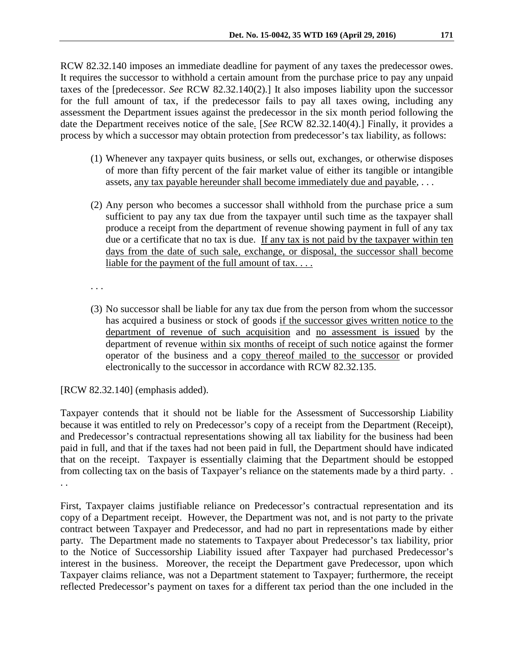RCW 82.32.140 imposes an immediate deadline for payment of any taxes the predecessor owes. It requires the successor to withhold a certain amount from the purchase price to pay any unpaid taxes of the [predecessor. *See* RCW 82.32.140(2).] It also imposes liability upon the successor for the full amount of tax, if the predecessor fails to pay all taxes owing, including any assessment the Department issues against the predecessor in the six month period following the date the Department receives notice of the sale. [*See* RCW 82.32.140(4).] Finally, it provides a process by which a successor may obtain protection from predecessor's tax liability, as follows:

- (1) Whenever any taxpayer quits business, or sells out, exchanges, or otherwise disposes of more than fifty percent of the fair market value of either its tangible or intangible assets, any tax payable hereunder shall become immediately due and payable, . . .
- (2) Any person who becomes a successor shall withhold from the purchase price a sum sufficient to pay any tax due from the taxpayer until such time as the taxpayer shall produce a receipt from the department of revenue showing payment in full of any tax due or a certificate that no tax is due. If any tax is not paid by the taxpayer within ten days from the date of such sale, exchange, or disposal, the successor shall become liable for the payment of the full amount of tax. . . .

. . .

(3) No successor shall be liable for any tax due from the person from whom the successor has acquired a business or stock of goods if the successor gives written notice to the department of revenue of such acquisition and no assessment is issued by the department of revenue within six months of receipt of such notice against the former operator of the business and a copy thereof mailed to the successor or provided electronically to the successor in accordance with RCW 82.32.135.

[RCW 82.32.140] (emphasis added).

Taxpayer contends that it should not be liable for the Assessment of Successorship Liability because it was entitled to rely on Predecessor's copy of a receipt from the Department (Receipt), and Predecessor's contractual representations showing all tax liability for the business had been paid in full, and that if the taxes had not been paid in full, the Department should have indicated that on the receipt. Taxpayer is essentially claiming that the Department should be estopped from collecting tax on the basis of Taxpayer's reliance on the statements made by a third party. . . .

First, Taxpayer claims justifiable reliance on Predecessor's contractual representation and its copy of a Department receipt. However, the Department was not, and is not party to the private contract between Taxpayer and Predecessor, and had no part in representations made by either party. The Department made no statements to Taxpayer about Predecessor's tax liability, prior to the Notice of Successorship Liability issued after Taxpayer had purchased Predecessor's interest in the business. Moreover, the receipt the Department gave Predecessor, upon which Taxpayer claims reliance, was not a Department statement to Taxpayer; furthermore, the receipt reflected Predecessor's payment on taxes for a different tax period than the one included in the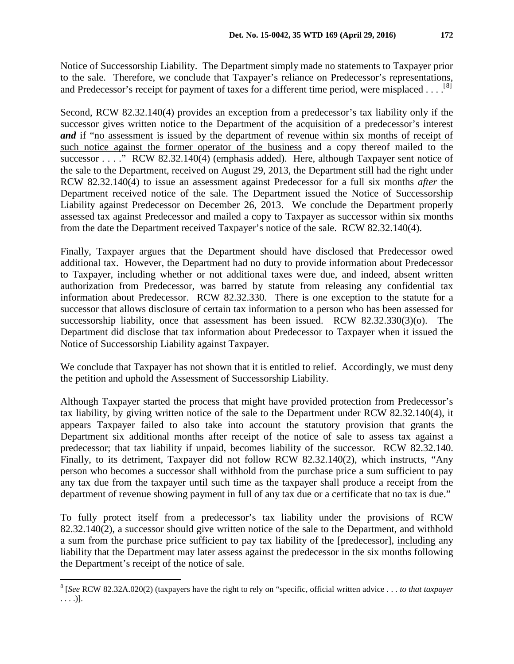Notice of Successorship Liability. The Department simply made no statements to Taxpayer prior to the sale. Therefore, we conclude that Taxpayer's reliance on Predecessor's representations, and Predecessor's receipt for payment of taxes for a different time period, were misplaced . . . .<sup>[[8\]](#page-3-0)</sup>

Second, RCW 82.32.140(4) provides an exception from a predecessor's tax liability only if the successor gives written notice to the Department of the acquisition of a predecessor's interest *and* if "no assessment is issued by the department of revenue within six months of receipt of such notice against the former operator of the business and a copy thereof mailed to the successor . . . ." RCW 82.32.140(4) (emphasis added). Here, although Taxpayer sent notice of the sale to the Department, received on August 29, 2013, the Department still had the right under RCW 82.32.140(4) to issue an assessment against Predecessor for a full six months *after* the Department received notice of the sale. The Department issued the Notice of Successorship Liability against Predecessor on December 26, 2013. We conclude the Department properly assessed tax against Predecessor and mailed a copy to Taxpayer as successor within six months from the date the Department received Taxpayer's notice of the sale. RCW 82.32.140(4).

Finally, Taxpayer argues that the Department should have disclosed that Predecessor owed additional tax. However, the Department had no duty to provide information about Predecessor to Taxpayer, including whether or not additional taxes were due, and indeed, absent written authorization from Predecessor, was barred by statute from releasing any confidential tax information about Predecessor. RCW 82.32.330. There is one exception to the statute for a successor that allows disclosure of certain tax information to a person who has been assessed for successorship liability, once that assessment has been issued. RCW 82.32.330(3)(o). The Department did disclose that tax information about Predecessor to Taxpayer when it issued the Notice of Successorship Liability against Taxpayer.

We conclude that Taxpayer has not shown that it is entitled to relief. Accordingly, we must deny the petition and uphold the Assessment of Successorship Liability.

Although Taxpayer started the process that might have provided protection from Predecessor's tax liability, by giving written notice of the sale to the Department under RCW 82.32.140(4), it appears Taxpayer failed to also take into account the statutory provision that grants the Department six additional months after receipt of the notice of sale to assess tax against a predecessor; that tax liability if unpaid, becomes liability of the successor. RCW 82.32.140. Finally, to its detriment, Taxpayer did not follow RCW 82.32.140(2), which instructs, "Any person who becomes a successor shall withhold from the purchase price a sum sufficient to pay any tax due from the taxpayer until such time as the taxpayer shall produce a receipt from the department of revenue showing payment in full of any tax due or a certificate that no tax is due."

To fully protect itself from a predecessor's tax liability under the provisions of RCW 82.32.140(2), a successor should give written notice of the sale to the Department, and withhold a sum from the purchase price sufficient to pay tax liability of the [predecessor], including any liability that the Department may later assess against the predecessor in the six months following the Department's receipt of the notice of sale.

<span id="page-3-0"></span> <sup>8</sup> [*See* RCW 82.32A.020(2) (taxpayers have the right to rely on "specific, official written advice . . . *to that taxpayer* . . . .)].